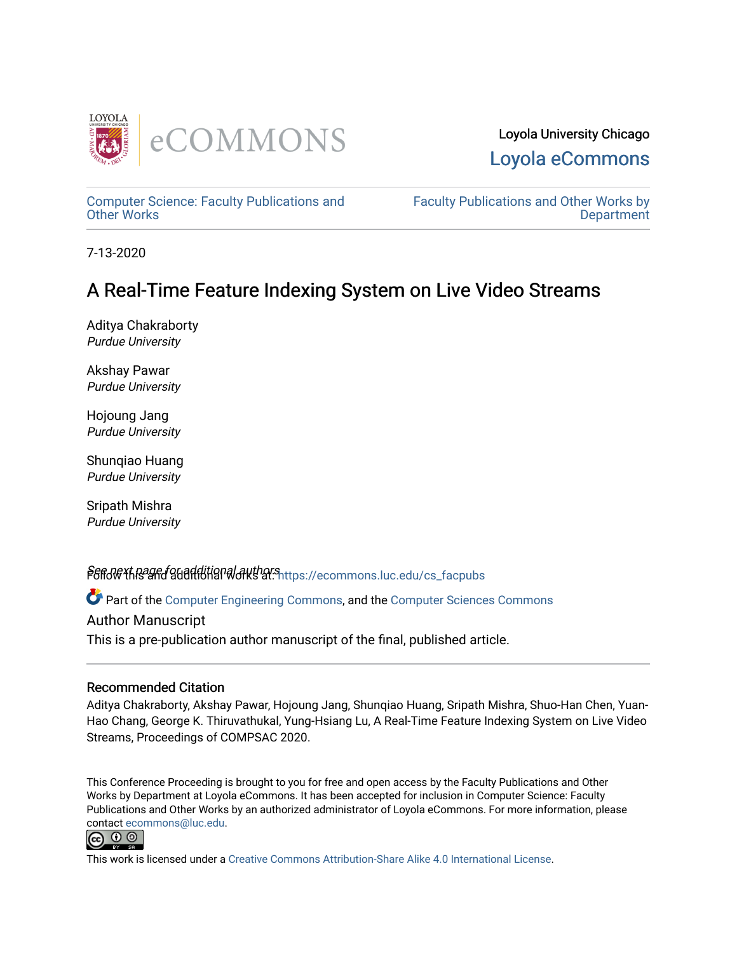

[Computer Science: Faculty Publications and](https://ecommons.luc.edu/cs_facpubs) [Other Works](https://ecommons.luc.edu/cs_facpubs)

[Faculty Publications and Other Works by](https://ecommons.luc.edu/faculty)  **Department** 

7-13-2020

# A Real-Time Feature Indexing System on Live Video Streams

Aditya Chakraborty Purdue University

Akshay Pawar Purdue University

Hojoung Jang Purdue University

Shunqiao Huang Purdue University

Sripath Mishra Purdue University

Sere Next page for additional authors interstational works luc.edu/cs\_facpubs

Part of the [Computer Engineering Commons,](http://network.bepress.com/hgg/discipline/258?utm_source=ecommons.luc.edu%2Fcs_facpubs%2F249&utm_medium=PDF&utm_campaign=PDFCoverPages) and the Computer Sciences Commons

Author Manuscript

This is a pre-publication author manuscript of the final, published article.

### Recommended Citation

Aditya Chakraborty, Akshay Pawar, Hojoung Jang, Shunqiao Huang, Sripath Mishra, Shuo-Han Chen, Yuan-Hao Chang, George K. Thiruvathukal, Yung-Hsiang Lu, A Real-Time Feature Indexing System on Live Video Streams, Proceedings of COMPSAC 2020.

This Conference Proceeding is brought to you for free and open access by the Faculty Publications and Other Works by Department at Loyola eCommons. It has been accepted for inclusion in Computer Science: Faculty Publications and Other Works by an authorized administrator of Loyola eCommons. For more information, please contact [ecommons@luc.edu.](mailto:ecommons@luc.edu)



This work is licensed under a [Creative Commons Attribution-Share Alike 4.0 International License](https://creativecommons.org/licenses/by-sa/4.0/).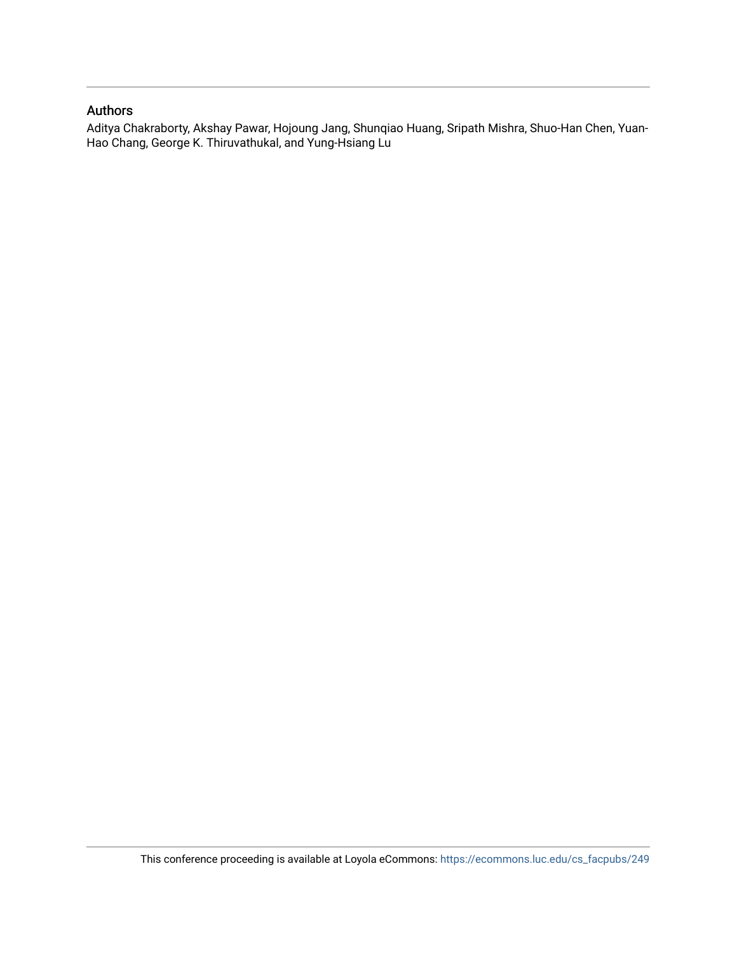## Authors

Aditya Chakraborty, Akshay Pawar, Hojoung Jang, Shunqiao Huang, Sripath Mishra, Shuo-Han Chen, Yuan-Hao Chang, George K. Thiruvathukal, and Yung-Hsiang Lu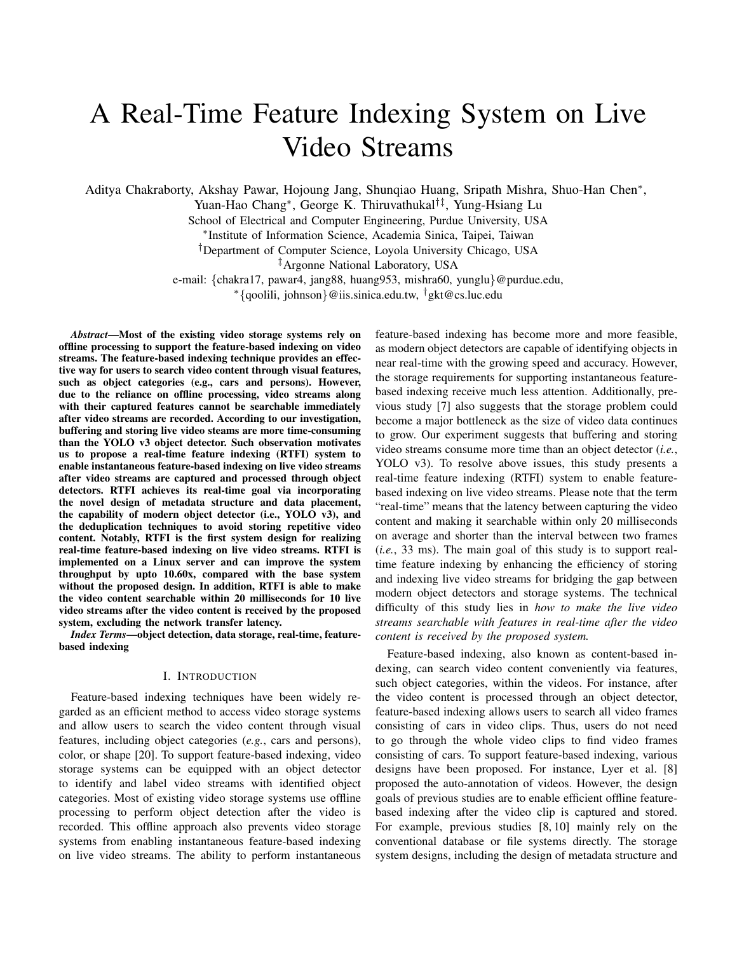# A Real-Time Feature Indexing System on Live Video Streams

Aditya Chakraborty, Akshay Pawar, Hojoung Jang, Shunqiao Huang, Sripath Mishra, Shuo-Han Chen<sup>∗</sup> ,

Yuan-Hao Chang<sup>∗</sup> , George K. Thiruvathukal†‡, Yung-Hsiang Lu

School of Electrical and Computer Engineering, Purdue University, USA

∗ Institute of Information Science, Academia Sinica, Taipei, Taiwan

†Department of Computer Science, Loyola University Chicago, USA

‡Argonne National Laboratory, USA

e-mail: {chakra17, pawar4, jang88, huang953, mishra60, yunglu}@purdue.edu,

<sup>∗</sup>{qoolili, johnson}@iis.sinica.edu.tw, †gkt@cs.luc.edu

*Abstract*—Most of the existing video storage systems rely on offline processing to support the feature-based indexing on video streams. The feature-based indexing technique provides an effective way for users to search video content through visual features, such as object categories (e.g., cars and persons). However, due to the reliance on offline processing, video streams along with their captured features cannot be searchable immediately after video streams are recorded. According to our investigation, buffering and storing live video steams are more time-consuming than the YOLO v3 object detector. Such observation motivates us to propose a real-time feature indexing (RTFI) system to enable instantaneous feature-based indexing on live video streams after video streams are captured and processed through object detectors. RTFI achieves its real-time goal via incorporating the novel design of metadata structure and data placement, the capability of modern object detector (i.e., YOLO v3), and the deduplication techniques to avoid storing repetitive video content. Notably, RTFI is the first system design for realizing real-time feature-based indexing on live video streams. RTFI is implemented on a Linux server and can improve the system throughput by upto 10.60x, compared with the base system without the proposed design. In addition, RTFI is able to make the video content searchable within 20 milliseconds for 10 live video streams after the video content is received by the proposed system, excluding the network transfer latency.

*Index Terms*—object detection, data storage, real-time, featurebased indexing

#### I. INTRODUCTION

Feature-based indexing techniques have been widely regarded as an efficient method to access video storage systems and allow users to search the video content through visual features, including object categories (*e.g.*, cars and persons), color, or shape [20]. To support feature-based indexing, video storage systems can be equipped with an object detector to identify and label video streams with identified object categories. Most of existing video storage systems use offline processing to perform object detection after the video is recorded. This offline approach also prevents video storage systems from enabling instantaneous feature-based indexing on live video streams. The ability to perform instantaneous feature-based indexing has become more and more feasible, as modern object detectors are capable of identifying objects in near real-time with the growing speed and accuracy. However, the storage requirements for supporting instantaneous featurebased indexing receive much less attention. Additionally, previous study [7] also suggests that the storage problem could become a major bottleneck as the size of video data continues to grow. Our experiment suggests that buffering and storing video streams consume more time than an object detector (*i.e.*, YOLO v3). To resolve above issues, this study presents a real-time feature indexing (RTFI) system to enable featurebased indexing on live video streams. Please note that the term "real-time" means that the latency between capturing the video content and making it searchable within only 20 milliseconds on average and shorter than the interval between two frames (*i.e.*, 33 ms). The main goal of this study is to support realtime feature indexing by enhancing the efficiency of storing and indexing live video streams for bridging the gap between modern object detectors and storage systems. The technical difficulty of this study lies in *how to make the live video streams searchable with features in real-time after the video content is received by the proposed system.*

Feature-based indexing, also known as content-based indexing, can search video content conveniently via features, such object categories, within the videos. For instance, after the video content is processed through an object detector, feature-based indexing allows users to search all video frames consisting of cars in video clips. Thus, users do not need to go through the whole video clips to find video frames consisting of cars. To support feature-based indexing, various designs have been proposed. For instance, Lyer et al. [8] proposed the auto-annotation of videos. However, the design goals of previous studies are to enable efficient offline featurebased indexing after the video clip is captured and stored. For example, previous studies [8, 10] mainly rely on the conventional database or file systems directly. The storage system designs, including the design of metadata structure and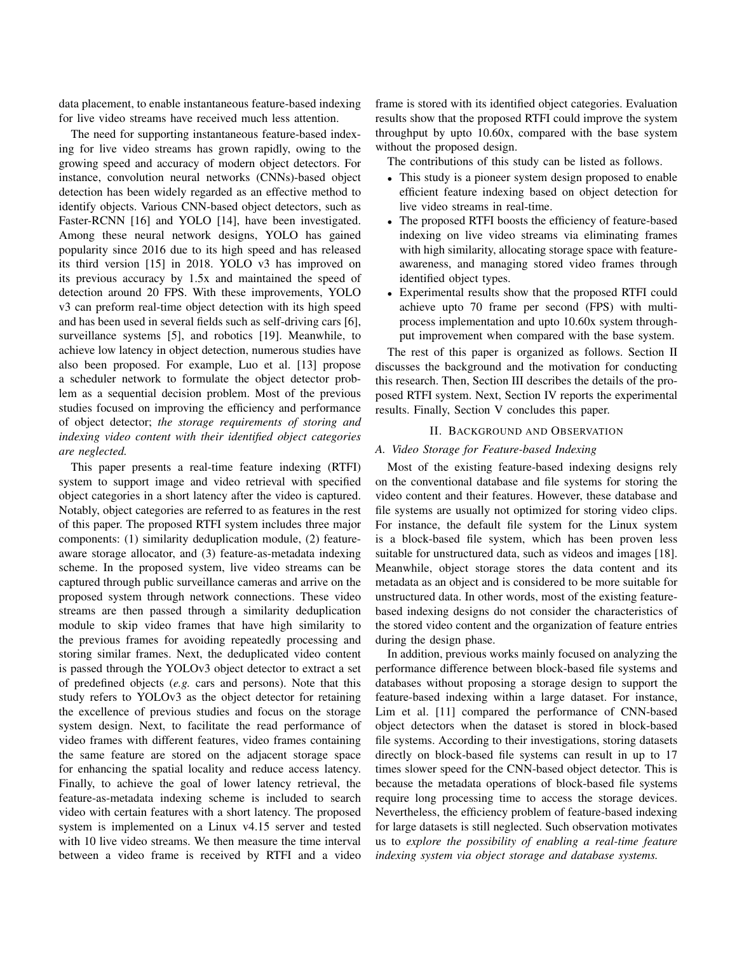data placement, to enable instantaneous feature-based indexing for live video streams have received much less attention.

The need for supporting instantaneous feature-based indexing for live video streams has grown rapidly, owing to the growing speed and accuracy of modern object detectors. For instance, convolution neural networks (CNNs)-based object detection has been widely regarded as an effective method to identify objects. Various CNN-based object detectors, such as Faster-RCNN [16] and YOLO [14], have been investigated. Among these neural network designs, YOLO has gained popularity since 2016 due to its high speed and has released its third version [15] in 2018. YOLO v3 has improved on its previous accuracy by 1.5x and maintained the speed of detection around 20 FPS. With these improvements, YOLO v3 can preform real-time object detection with its high speed and has been used in several fields such as self-driving cars [6], surveillance systems [5], and robotics [19]. Meanwhile, to achieve low latency in object detection, numerous studies have also been proposed. For example, Luo et al. [13] propose a scheduler network to formulate the object detector problem as a sequential decision problem. Most of the previous studies focused on improving the efficiency and performance of object detector; *the storage requirements of storing and indexing video content with their identified object categories are neglected.*

This paper presents a real-time feature indexing (RTFI) system to support image and video retrieval with specified object categories in a short latency after the video is captured. Notably, object categories are referred to as features in the rest of this paper. The proposed RTFI system includes three major components: (1) similarity deduplication module, (2) featureaware storage allocator, and (3) feature-as-metadata indexing scheme. In the proposed system, live video streams can be captured through public surveillance cameras and arrive on the proposed system through network connections. These video streams are then passed through a similarity deduplication module to skip video frames that have high similarity to the previous frames for avoiding repeatedly processing and storing similar frames. Next, the deduplicated video content is passed through the YOLOv3 object detector to extract a set of predefined objects (*e.g.* cars and persons). Note that this study refers to YOLOv3 as the object detector for retaining the excellence of previous studies and focus on the storage system design. Next, to facilitate the read performance of video frames with different features, video frames containing the same feature are stored on the adjacent storage space for enhancing the spatial locality and reduce access latency. Finally, to achieve the goal of lower latency retrieval, the feature-as-metadata indexing scheme is included to search video with certain features with a short latency. The proposed system is implemented on a Linux v4.15 server and tested with 10 live video streams. We then measure the time interval between a video frame is received by RTFI and a video frame is stored with its identified object categories. Evaluation results show that the proposed RTFI could improve the system throughput by upto 10.60x, compared with the base system without the proposed design.

The contributions of this study can be listed as follows.

- This study is a pioneer system design proposed to enable efficient feature indexing based on object detection for live video streams in real-time.
- The proposed RTFI boosts the efficiency of feature-based indexing on live video streams via eliminating frames with high similarity, allocating storage space with featureawareness, and managing stored video frames through identified object types.
- Experimental results show that the proposed RTFI could achieve upto 70 frame per second (FPS) with multiprocess implementation and upto 10.60x system throughput improvement when compared with the base system.

The rest of this paper is organized as follows. Section II discusses the background and the motivation for conducting this research. Then, Section III describes the details of the proposed RTFI system. Next, Section IV reports the experimental results. Finally, Section V concludes this paper.

#### II. BACKGROUND AND OBSERVATION

#### *A. Video Storage for Feature-based Indexing*

Most of the existing feature-based indexing designs rely on the conventional database and file systems for storing the video content and their features. However, these database and file systems are usually not optimized for storing video clips. For instance, the default file system for the Linux system is a block-based file system, which has been proven less suitable for unstructured data, such as videos and images [18]. Meanwhile, object storage stores the data content and its metadata as an object and is considered to be more suitable for unstructured data. In other words, most of the existing featurebased indexing designs do not consider the characteristics of the stored video content and the organization of feature entries during the design phase.

In addition, previous works mainly focused on analyzing the performance difference between block-based file systems and databases without proposing a storage design to support the feature-based indexing within a large dataset. For instance, Lim et al. [11] compared the performance of CNN-based object detectors when the dataset is stored in block-based file systems. According to their investigations, storing datasets directly on block-based file systems can result in up to 17 times slower speed for the CNN-based object detector. This is because the metadata operations of block-based file systems require long processing time to access the storage devices. Nevertheless, the efficiency problem of feature-based indexing for large datasets is still neglected. Such observation motivates us to *explore the possibility of enabling a real-time feature indexing system via object storage and database systems.*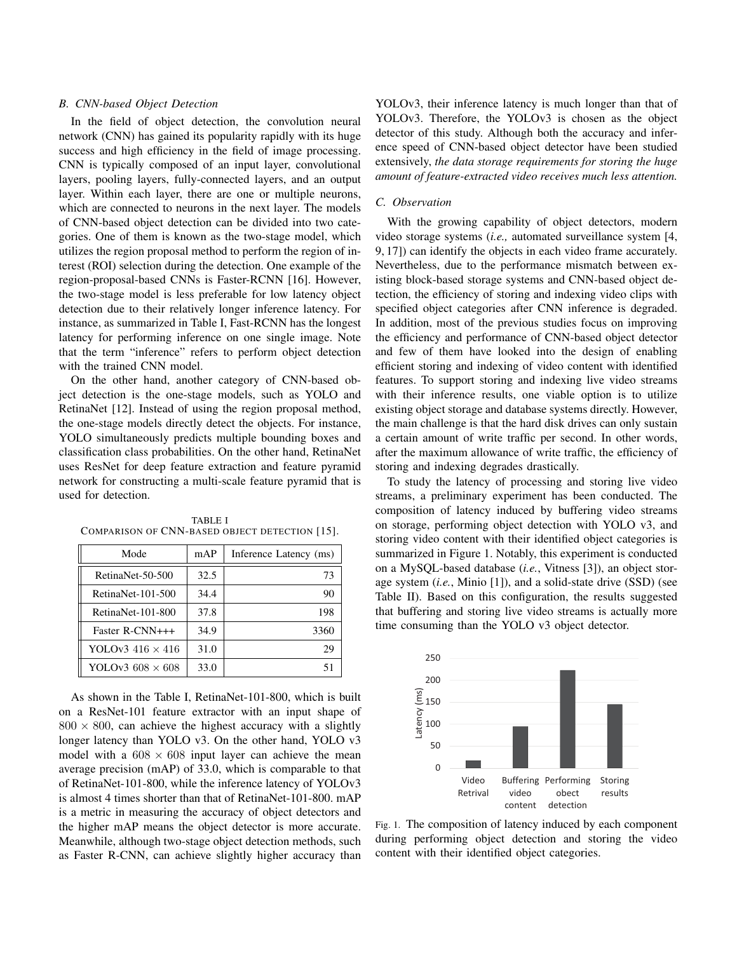#### *B. CNN-based Object Detection*

In the field of object detection, the convolution neural network (CNN) has gained its popularity rapidly with its huge success and high efficiency in the field of image processing. CNN is typically composed of an input layer, convolutional layers, pooling layers, fully-connected layers, and an output layer. Within each layer, there are one or multiple neurons, which are connected to neurons in the next layer. The models of CNN-based object detection can be divided into two categories. One of them is known as the two-stage model, which utilizes the region proposal method to perform the region of interest (ROI) selection during the detection. One example of the region-proposal-based CNNs is Faster-RCNN [16]. However, the two-stage model is less preferable for low latency object detection due to their relatively longer inference latency. For instance, as summarized in Table I, Fast-RCNN has the longest latency for performing inference on one single image. Note that the term "inference" refers to perform object detection with the trained CNN model.

On the other hand, another category of CNN-based object detection is the one-stage models, such as YOLO and RetinaNet [12]. Instead of using the region proposal method, the one-stage models directly detect the objects. For instance, YOLO simultaneously predicts multiple bounding boxes and classification class probabilities. On the other hand, RetinaNet uses ResNet for deep feature extraction and feature pyramid network for constructing a multi-scale feature pyramid that is used for detection.

|                                                | <b>TABLE I</b> |  |  |
|------------------------------------------------|----------------|--|--|
| COMPARISON OF CNN-BASED OBJECT DETECTION [15]. |                |  |  |

| Mode                    | mAP  | Inference Latency (ms) |
|-------------------------|------|------------------------|
| RetinaNet-50-500        | 32.5 | 73                     |
| RetinaNet-101-500       | 34.4 | 90                     |
| RetinaNet-101-800       | 37.8 | 198                    |
| Faster $R-CNN++$        | 34.9 | 3360                   |
| YOLOv3 $416 \times 416$ | 31.0 | 29                     |
| YOLOv3 $608 \times 608$ | 33.0 | 51                     |

As shown in the Table I, RetinaNet-101-800, which is built on a ResNet-101 feature extractor with an input shape of  $800 \times 800$ , can achieve the highest accuracy with a slightly longer latency than YOLO v3. On the other hand, YOLO v3 model with a  $608 \times 608$  input layer can achieve the mean average precision (mAP) of 33.0, which is comparable to that of RetinaNet-101-800, while the inference latency of YOLOv3 is almost 4 times shorter than that of RetinaNet-101-800. mAP is a metric in measuring the accuracy of object detectors and the higher mAP means the object detector is more accurate. Meanwhile, although two-stage object detection methods, such as Faster R-CNN, can achieve slightly higher accuracy than

YOLOv3, their inference latency is much longer than that of YOLOv3. Therefore, the YOLOv3 is chosen as the object detector of this study. Although both the accuracy and inference speed of CNN-based object detector have been studied extensively, *the data storage requirements for storing the huge amount of feature-extracted video receives much less attention.*

#### *C. Observation*

With the growing capability of object detectors, modern video storage systems (*i.e.,* automated surveillance system [4, 9, 17]) can identify the objects in each video frame accurately. Nevertheless, due to the performance mismatch between existing block-based storage systems and CNN-based object detection, the efficiency of storing and indexing video clips with specified object categories after CNN inference is degraded. In addition, most of the previous studies focus on improving the efficiency and performance of CNN-based object detector and few of them have looked into the design of enabling efficient storing and indexing of video content with identified features. To support storing and indexing live video streams with their inference results, one viable option is to utilize existing object storage and database systems directly. However, the main challenge is that the hard disk drives can only sustain a certain amount of write traffic per second. In other words, after the maximum allowance of write traffic, the efficiency of storing and indexing degrades drastically.

To study the latency of processing and storing live video streams, a preliminary experiment has been conducted. The composition of latency induced by buffering video streams on storage, performing object detection with YOLO v3, and storing video content with their identified object categories is summarized in Figure 1. Notably, this experiment is conducted on a MySQL-based database (*i.e.*, Vitness [3]), an object storage system (*i.e.*, Minio [1]), and a solid-state drive (SSD) (see Table II). Based on this configuration, the results suggested that buffering and storing live video streams is actually more time consuming than the YOLO v3 object detector.



Fig. 1. The composition of latency induced by each component during performing object detection and storing the video content with their identified object categories.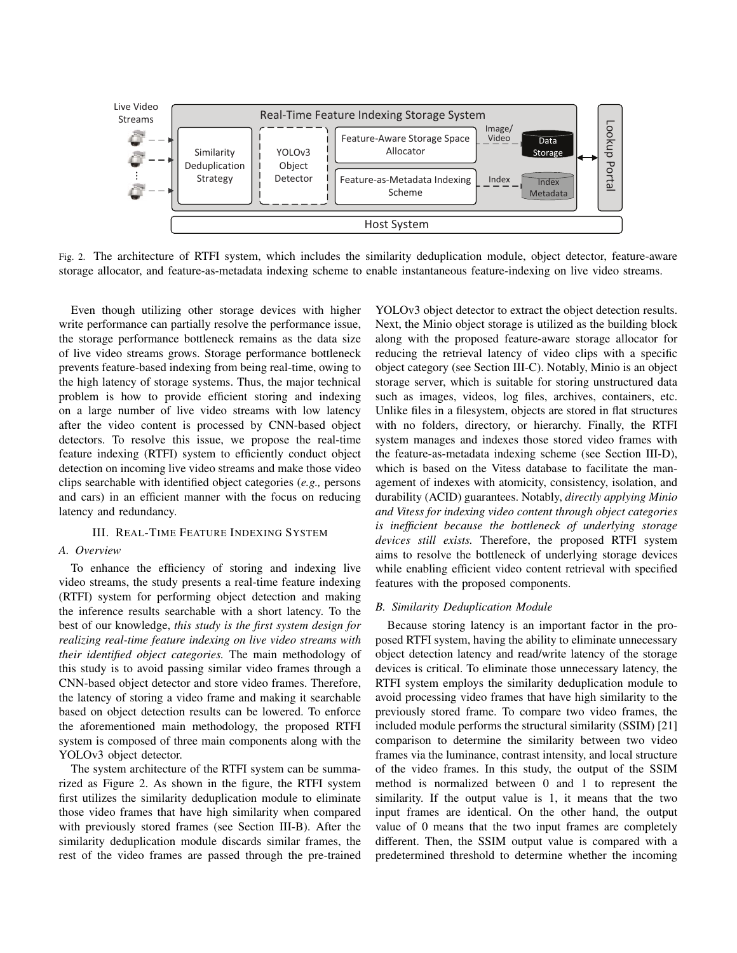

Fig. 2. The architecture of RTFI system, which includes the similarity deduplication module, object detector, feature-aware storage allocator, and feature-as-metadata indexing scheme to enable instantaneous feature-indexing on live video streams.

Even though utilizing other storage devices with higher write performance can partially resolve the performance issue, the storage performance bottleneck remains as the data size of live video streams grows. Storage performance bottleneck prevents feature-based indexing from being real-time, owing to the high latency of storage systems. Thus, the major technical problem is how to provide efficient storing and indexing on a large number of live video streams with low latency after the video content is processed by CNN-based object detectors. To resolve this issue, we propose the real-time feature indexing (RTFI) system to efficiently conduct object detection on incoming live video streams and make those video clips searchable with identified object categories (*e.g.,* persons and cars) in an efficient manner with the focus on reducing latency and redundancy.

#### III. REAL-TIME FEATURE INDEXING SYSTEM

#### *A. Overview*

To enhance the efficiency of storing and indexing live video streams, the study presents a real-time feature indexing (RTFI) system for performing object detection and making the inference results searchable with a short latency. To the best of our knowledge, *this study is the first system design for realizing real-time feature indexing on live video streams with their identified object categories.* The main methodology of this study is to avoid passing similar video frames through a CNN-based object detector and store video frames. Therefore, the latency of storing a video frame and making it searchable based on object detection results can be lowered. To enforce the aforementioned main methodology, the proposed RTFI system is composed of three main components along with the YOLOv3 object detector.

The system architecture of the RTFI system can be summarized as Figure 2. As shown in the figure, the RTFI system first utilizes the similarity deduplication module to eliminate those video frames that have high similarity when compared with previously stored frames (see Section III-B). After the similarity deduplication module discards similar frames, the rest of the video frames are passed through the pre-trained YOLOv3 object detector to extract the object detection results. Next, the Minio object storage is utilized as the building block along with the proposed feature-aware storage allocator for reducing the retrieval latency of video clips with a specific object category (see Section III-C). Notably, Minio is an object storage server, which is suitable for storing unstructured data such as images, videos, log files, archives, containers, etc. Unlike files in a filesystem, objects are stored in flat structures with no folders, directory, or hierarchy. Finally, the RTFI system manages and indexes those stored video frames with the feature-as-metadata indexing scheme (see Section III-D), which is based on the Vitess database to facilitate the management of indexes with atomicity, consistency, isolation, and durability (ACID) guarantees. Notably, *directly applying Minio and Vitess for indexing video content through object categories is inefficient because the bottleneck of underlying storage devices still exists.* Therefore, the proposed RTFI system aims to resolve the bottleneck of underlying storage devices while enabling efficient video content retrieval with specified features with the proposed components.

#### *B. Similarity Deduplication Module*

Because storing latency is an important factor in the proposed RTFI system, having the ability to eliminate unnecessary object detection latency and read/write latency of the storage devices is critical. To eliminate those unnecessary latency, the RTFI system employs the similarity deduplication module to avoid processing video frames that have high similarity to the previously stored frame. To compare two video frames, the included module performs the structural similarity (SSIM) [21] comparison to determine the similarity between two video frames via the luminance, contrast intensity, and local structure of the video frames. In this study, the output of the SSIM method is normalized between 0 and 1 to represent the similarity. If the output value is 1, it means that the two input frames are identical. On the other hand, the output value of 0 means that the two input frames are completely different. Then, the SSIM output value is compared with a predetermined threshold to determine whether the incoming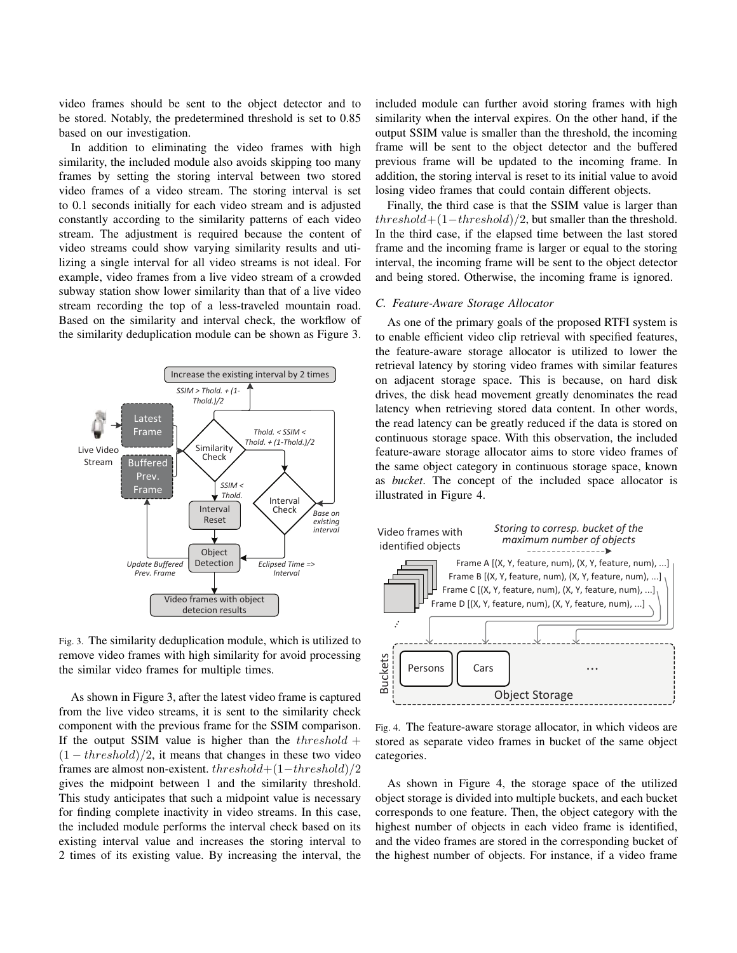video frames should be sent to the object detector and to be stored. Notably, the predetermined threshold is set to 0.85 based on our investigation.

In addition to eliminating the video frames with high similarity, the included module also avoids skipping too many frames by setting the storing interval between two stored video frames of a video stream. The storing interval is set to 0.1 seconds initially for each video stream and is adjusted constantly according to the similarity patterns of each video stream. The adjustment is required because the content of video streams could show varying similarity results and utilizing a single interval for all video streams is not ideal. For example, video frames from a live video stream of a crowded subway station show lower similarity than that of a live video stream recording the top of a less-traveled mountain road. Based on the similarity and interval check, the workflow of the similarity deduplication module can be shown as Figure 3.



Fig. 3. The similarity deduplication module, which is utilized to remove video frames with high similarity for avoid processing the similar video frames for multiple times.

As shown in Figure 3, after the latest video frame is captured from the live video streams, it is sent to the similarity check component with the previous frame for the SSIM comparison. If the output SSIM value is higher than the  $threshold +$  $(1 - threshold)/2$ , it means that changes in these two video frames are almost non-existent. threshold $+(1-threshold)/2$ gives the midpoint between 1 and the similarity threshold. This study anticipates that such a midpoint value is necessary for finding complete inactivity in video streams. In this case, the included module performs the interval check based on its existing interval value and increases the storing interval to 2 times of its existing value. By increasing the interval, the included module can further avoid storing frames with high similarity when the interval expires. On the other hand, if the output SSIM value is smaller than the threshold, the incoming frame will be sent to the object detector and the buffered previous frame will be updated to the incoming frame. In addition, the storing interval is reset to its initial value to avoid losing video frames that could contain different objects.

Finally, the third case is that the SSIM value is larger than  $threshold+(1-threshold)/2$ , but smaller than the threshold. In the third case, if the elapsed time between the last stored frame and the incoming frame is larger or equal to the storing interval, the incoming frame will be sent to the object detector and being stored. Otherwise, the incoming frame is ignored.

#### *C. Feature-Aware Storage Allocator*

As one of the primary goals of the proposed RTFI system is to enable efficient video clip retrieval with specified features, the feature-aware storage allocator is utilized to lower the retrieval latency by storing video frames with similar features on adjacent storage space. This is because, on hard disk drives, the disk head movement greatly denominates the read latency when retrieving stored data content. In other words, the read latency can be greatly reduced if the data is stored on continuous storage space. With this observation, the included feature-aware storage allocator aims to store video frames of the same object category in continuous storage space, known as *bucket*. The concept of the included space allocator is illustrated in Figure 4.



Fig. 4. The feature-aware storage allocator, in which videos are stored as separate video frames in bucket of the same object categories.

As shown in Figure 4, the storage space of the utilized object storage is divided into multiple buckets, and each bucket corresponds to one feature. Then, the object category with the highest number of objects in each video frame is identified, and the video frames are stored in the corresponding bucket of the highest number of objects. For instance, if a video frame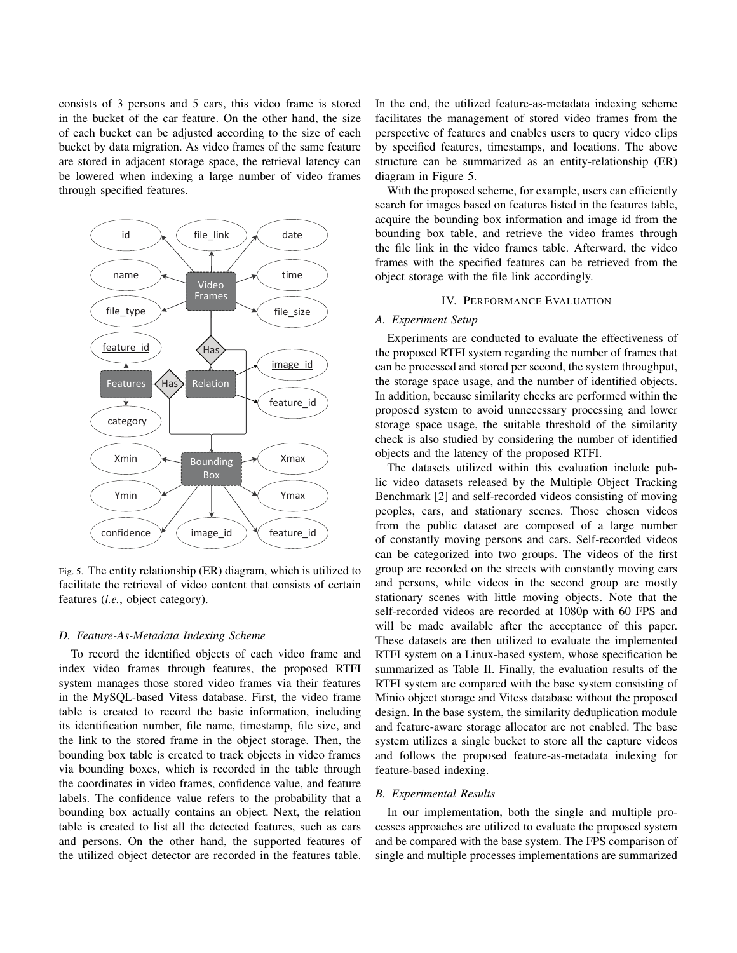consists of 3 persons and 5 cars, this video frame is stored in the bucket of the car feature. On the other hand, the size of each bucket can be adjusted according to the size of each bucket by data migration. As video frames of the same feature are stored in adjacent storage space, the retrieval latency can be lowered when indexing a large number of video frames through specified features.



Fig. 5. The entity relationship (ER) diagram, which is utilized to facilitate the retrieval of video content that consists of certain features (*i.e.*, object category).

#### *D. Feature-As-Metadata Indexing Scheme*

To record the identified objects of each video frame and index video frames through features, the proposed RTFI system manages those stored video frames via their features in the MySQL-based Vitess database. First, the video frame table is created to record the basic information, including its identification number, file name, timestamp, file size, and the link to the stored frame in the object storage. Then, the bounding box table is created to track objects in video frames via bounding boxes, which is recorded in the table through the coordinates in video frames, confidence value, and feature labels. The confidence value refers to the probability that a bounding box actually contains an object. Next, the relation table is created to list all the detected features, such as cars and persons. On the other hand, the supported features of the utilized object detector are recorded in the features table.

In the end, the utilized feature-as-metadata indexing scheme facilitates the management of stored video frames from the perspective of features and enables users to query video clips by specified features, timestamps, and locations. The above structure can be summarized as an entity-relationship (ER) diagram in Figure 5.

With the proposed scheme, for example, users can efficiently search for images based on features listed in the features table, acquire the bounding box information and image id from the bounding box table, and retrieve the video frames through the file link in the video frames table. Afterward, the video frames with the specified features can be retrieved from the object storage with the file link accordingly.

#### IV. PERFORMANCE EVALUATION

#### *A. Experiment Setup*

Experiments are conducted to evaluate the effectiveness of the proposed RTFI system regarding the number of frames that can be processed and stored per second, the system throughput, the storage space usage, and the number of identified objects. In addition, because similarity checks are performed within the proposed system to avoid unnecessary processing and lower storage space usage, the suitable threshold of the similarity check is also studied by considering the number of identified objects and the latency of the proposed RTFI.

The datasets utilized within this evaluation include public video datasets released by the Multiple Object Tracking Benchmark [2] and self-recorded videos consisting of moving peoples, cars, and stationary scenes. Those chosen videos from the public dataset are composed of a large number of constantly moving persons and cars. Self-recorded videos can be categorized into two groups. The videos of the first group are recorded on the streets with constantly moving cars and persons, while videos in the second group are mostly stationary scenes with little moving objects. Note that the self-recorded videos are recorded at 1080p with 60 FPS and will be made available after the acceptance of this paper. These datasets are then utilized to evaluate the implemented RTFI system on a Linux-based system, whose specification be summarized as Table II. Finally, the evaluation results of the RTFI system are compared with the base system consisting of Minio object storage and Vitess database without the proposed design. In the base system, the similarity deduplication module and feature-aware storage allocator are not enabled. The base system utilizes a single bucket to store all the capture videos and follows the proposed feature-as-metadata indexing for feature-based indexing.

#### *B. Experimental Results*

In our implementation, both the single and multiple processes approaches are utilized to evaluate the proposed system and be compared with the base system. The FPS comparison of single and multiple processes implementations are summarized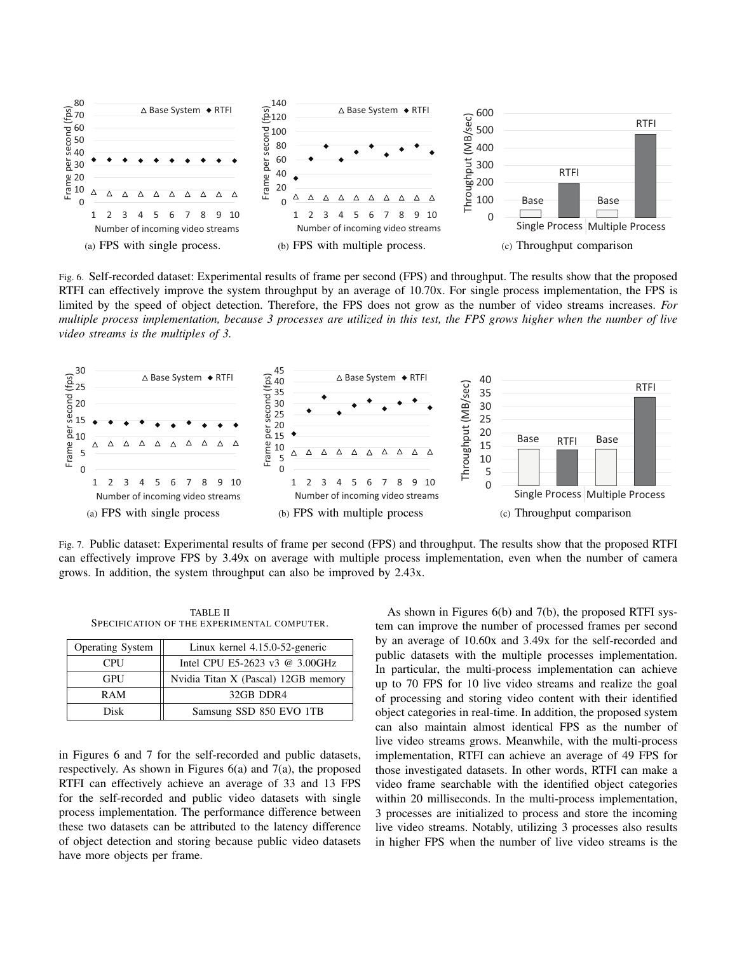

Fig. 6. Self-recorded dataset: Experimental results of frame per second (FPS) and throughput. The results show that the proposed RTFI can effectively improve the system throughput by an average of 10.70x. For single process implementation, the FPS is limited by the speed of object detection. Therefore, the FPS does not grow as the number of video streams increases. *For multiple process implementation, because 3 processes are utilized in this test, the FPS grows higher when the number of live video streams is the multiples of 3.*



Fig. 7. Public dataset: Experimental results of frame per second (FPS) and throughput. The results show that the proposed RTFI can effectively improve FPS by 3.49x on average with multiple process implementation, even when the number of camera grows. In addition, the system throughput can also be improved by 2.43x.

TABLE II SPECIFICATION OF THE EXPERIMENTAL COMPUTER.

| <b>Operating System</b> | Linux kernel 4.15.0-52-generic      |
|-------------------------|-------------------------------------|
| <b>CPU</b>              | Intel CPU E5-2623 v3 @ 3.00GHz      |
| GPU                     | Nvidia Titan X (Pascal) 12GB memory |
| <b>RAM</b>              | 32GB DDR4                           |
| Disk                    | Samsung SSD 850 EVO 1TB             |

in Figures 6 and 7 for the self-recorded and public datasets, respectively. As shown in Figures 6(a) and 7(a), the proposed RTFI can effectively achieve an average of 33 and 13 FPS for the self-recorded and public video datasets with single process implementation. The performance difference between these two datasets can be attributed to the latency difference of object detection and storing because public video datasets have more objects per frame.

As shown in Figures 6(b) and 7(b), the proposed RTFI system can improve the number of processed frames per second by an average of 10.60x and 3.49x for the self-recorded and public datasets with the multiple processes implementation. In particular, the multi-process implementation can achieve up to 70 FPS for 10 live video streams and realize the goal of processing and storing video content with their identified object categories in real-time. In addition, the proposed system can also maintain almost identical FPS as the number of live video streams grows. Meanwhile, with the multi-process implementation, RTFI can achieve an average of 49 FPS for those investigated datasets. In other words, RTFI can make a video frame searchable with the identified object categories within 20 milliseconds. In the multi-process implementation, 3 processes are initialized to process and store the incoming live video streams. Notably, utilizing 3 processes also results in higher FPS when the number of live video streams is the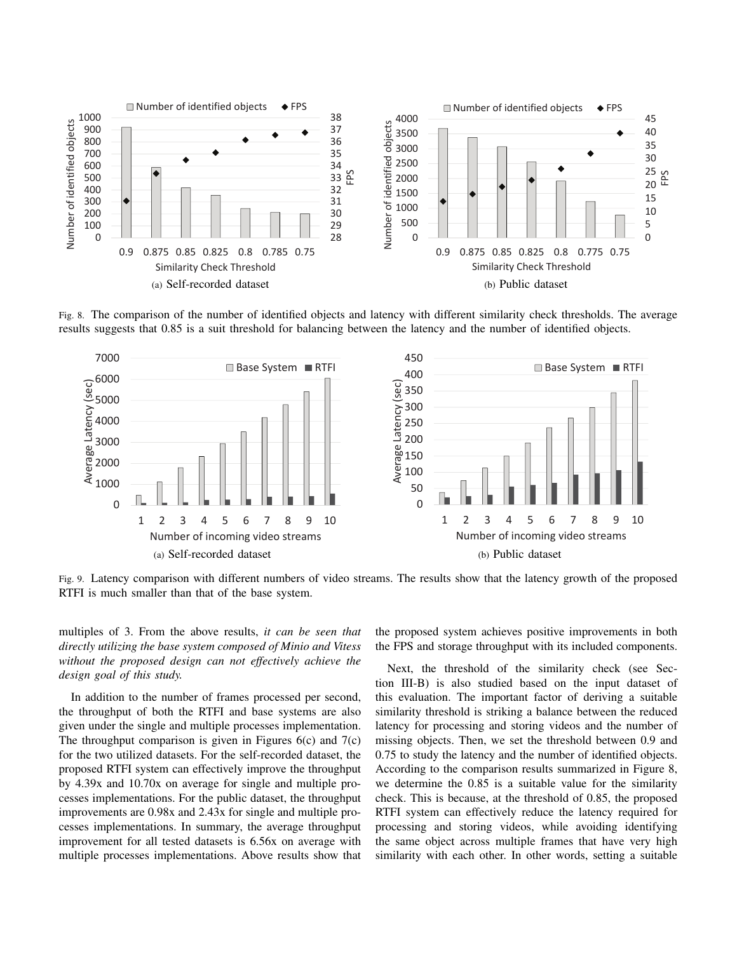

Fig. 8. The comparison of the number of identified objects and latency with different similarity check thresholds. The average results suggests that 0.85 is a suit threshold for balancing between the latency and the number of identified objects.



Fig. 9. Latency comparison with different numbers of video streams. The results show that the latency growth of the proposed RTFI is much smaller than that of the base system.

multiples of 3. From the above results, *it can be seen that directly utilizing the base system composed of Minio and Vitess without the proposed design can not effectively achieve the design goal of this study.*

In addition to the number of frames processed per second, the throughput of both the RTFI and base systems are also given under the single and multiple processes implementation. The throughput comparison is given in Figures  $6(c)$  and  $7(c)$ for the two utilized datasets. For the self-recorded dataset, the proposed RTFI system can effectively improve the throughput by 4.39x and 10.70x on average for single and multiple processes implementations. For the public dataset, the throughput improvements are 0.98x and 2.43x for single and multiple processes implementations. In summary, the average throughput improvement for all tested datasets is 6.56x on average with multiple processes implementations. Above results show that

the proposed system achieves positive improvements in both the FPS and storage throughput with its included components.

Next, the threshold of the similarity check (see Section III-B) is also studied based on the input dataset of this evaluation. The important factor of deriving a suitable similarity threshold is striking a balance between the reduced latency for processing and storing videos and the number of missing objects. Then, we set the threshold between 0.9 and 0.75 to study the latency and the number of identified objects. According to the comparison results summarized in Figure 8, we determine the 0.85 is a suitable value for the similarity check. This is because, at the threshold of 0.85, the proposed RTFI system can effectively reduce the latency required for processing and storing videos, while avoiding identifying the same object across multiple frames that have very high similarity with each other. In other words, setting a suitable